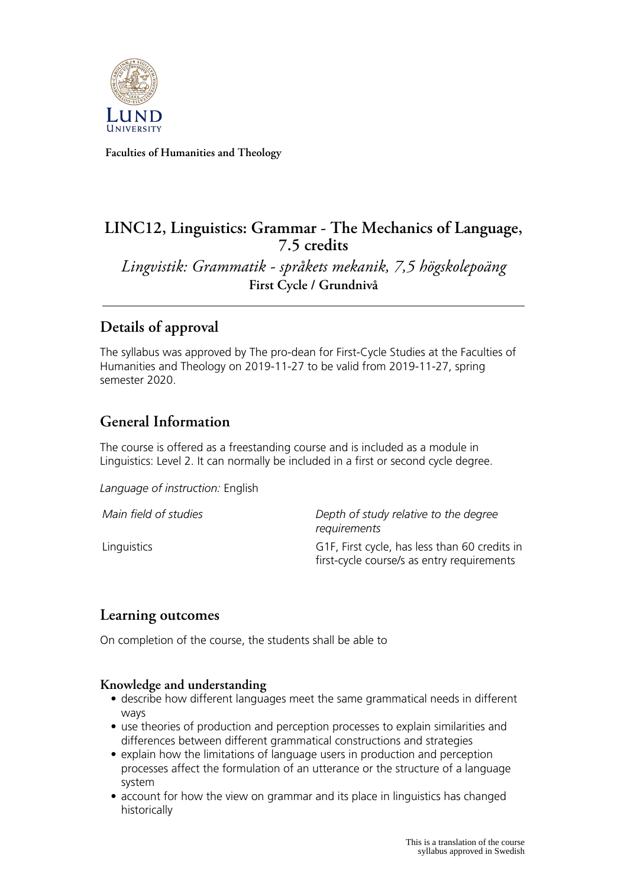

**Faculties of Humanities and Theology**

# **LINC12, Linguistics: Grammar - The Mechanics of Language, 7.5 credits**

*Lingvistik: Grammatik - språkets mekanik, 7,5 högskolepoäng* **First Cycle / Grundnivå**

# **Details of approval**

The syllabus was approved by The pro-dean for First-Cycle Studies at the Faculties of Humanities and Theology on 2019-11-27 to be valid from 2019-11-27, spring semester 2020.

# **General Information**

The course is offered as a freestanding course and is included as a module in Linguistics: Level 2. It can normally be included in a first or second cycle degree.

*Language of instruction:* English

| Main field of studies | Depth of study relative to the degree<br>requirements                                       |
|-----------------------|---------------------------------------------------------------------------------------------|
| Linguistics           | G1F, First cycle, has less than 60 credits in<br>first-cycle course/s as entry requirements |

## **Learning outcomes**

On completion of the course, the students shall be able to

#### **Knowledge and understanding**

- describe how different languages meet the same grammatical needs in different ways
- use theories of production and perception processes to explain similarities and differences between different grammatical constructions and strategies
- explain how the limitations of language users in production and perception processes affect the formulation of an utterance or the structure of a language system
- account for how the view on grammar and its place in linguistics has changed historically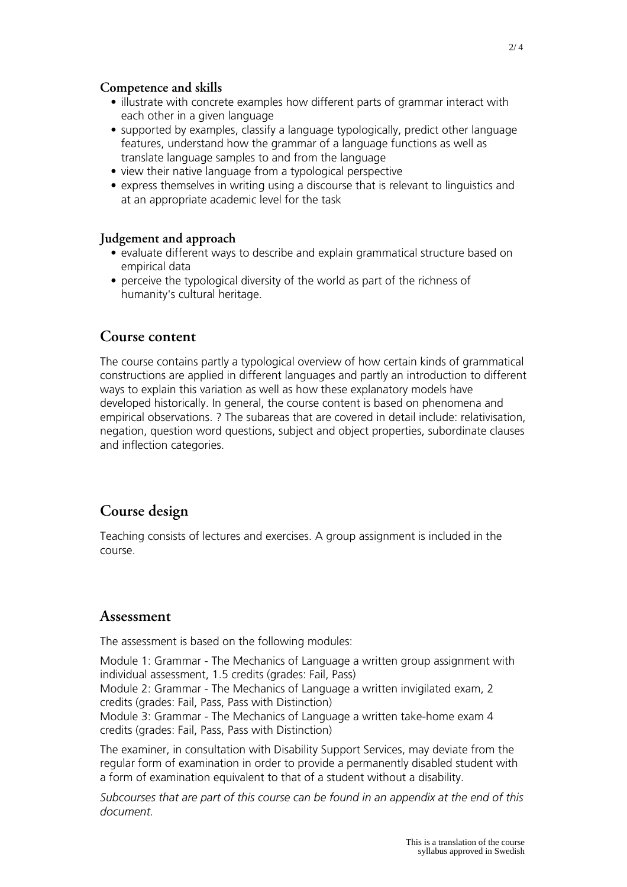#### **Competence and skills**

- illustrate with concrete examples how different parts of grammar interact with each other in a given language
- supported by examples, classify a language typologically, predict other language features, understand how the grammar of a language functions as well as translate language samples to and from the language
- view their native language from a typological perspective
- express themselves in writing using a discourse that is relevant to linguistics and at an appropriate academic level for the task

#### **Judgement and approach**

- evaluate different ways to describe and explain grammatical structure based on empirical data
- perceive the typological diversity of the world as part of the richness of humanity's cultural heritage.

#### **Course content**

The course contains partly a typological overview of how certain kinds of grammatical constructions are applied in different languages and partly an introduction to different ways to explain this variation as well as how these explanatory models have developed historically. In general, the course content is based on phenomena and empirical observations. ? The subareas that are covered in detail include: relativisation, negation, question word questions, subject and object properties, subordinate clauses and inflection categories.

### **Course design**

Teaching consists of lectures and exercises. A group assignment is included in the course.

#### **Assessment**

The assessment is based on the following modules:

Module 1: Grammar - The Mechanics of Language a written group assignment with individual assessment, 1.5 credits (grades: Fail, Pass) Module 2: Grammar - The Mechanics of Language a written invigilated exam, 2 credits (grades: Fail, Pass, Pass with Distinction) Module 3: Grammar - The Mechanics of Language a written take-home exam 4 credits (grades: Fail, Pass, Pass with Distinction)

The examiner, in consultation with Disability Support Services, may deviate from the regular form of examination in order to provide a permanently disabled student with a form of examination equivalent to that of a student without a disability.

*Subcourses that are part of this course can be found in an appendix at the end of this document.*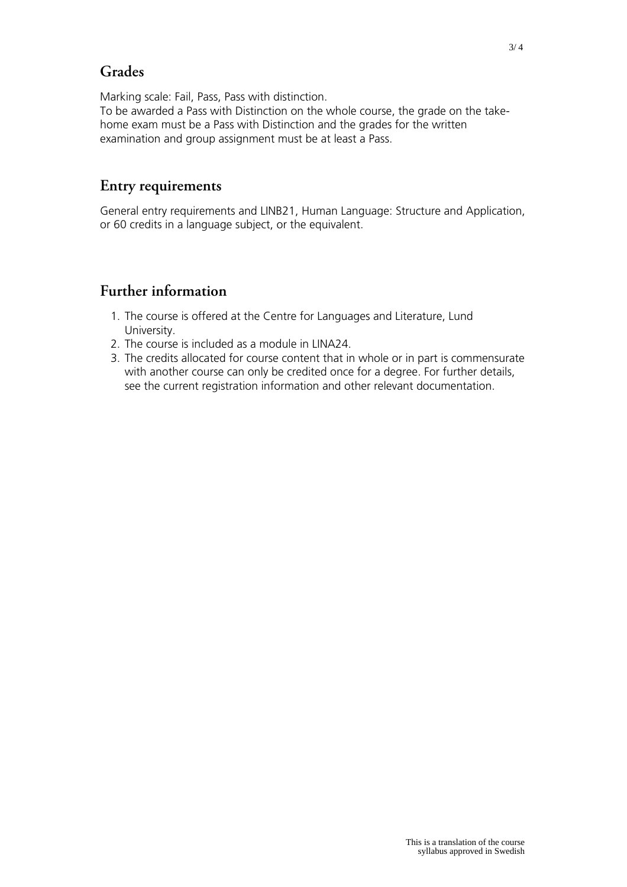# **Grades**

Marking scale: Fail, Pass, Pass with distinction. To be awarded a Pass with Distinction on the whole course, the grade on the takehome exam must be a Pass with Distinction and the grades for the written examination and group assignment must be at least a Pass.

### **Entry requirements**

General entry requirements and LINB21, Human Language: Structure and Application, or 60 credits in a language subject, or the equivalent.

## **Further information**

- 1. The course is offered at the Centre for Languages and Literature, Lund University.
- 2. The course is included as a module in LINA24.
- 3. The credits allocated for course content that in whole or in part is commensurate with another course can only be credited once for a degree. For further details, see the current registration information and other relevant documentation.